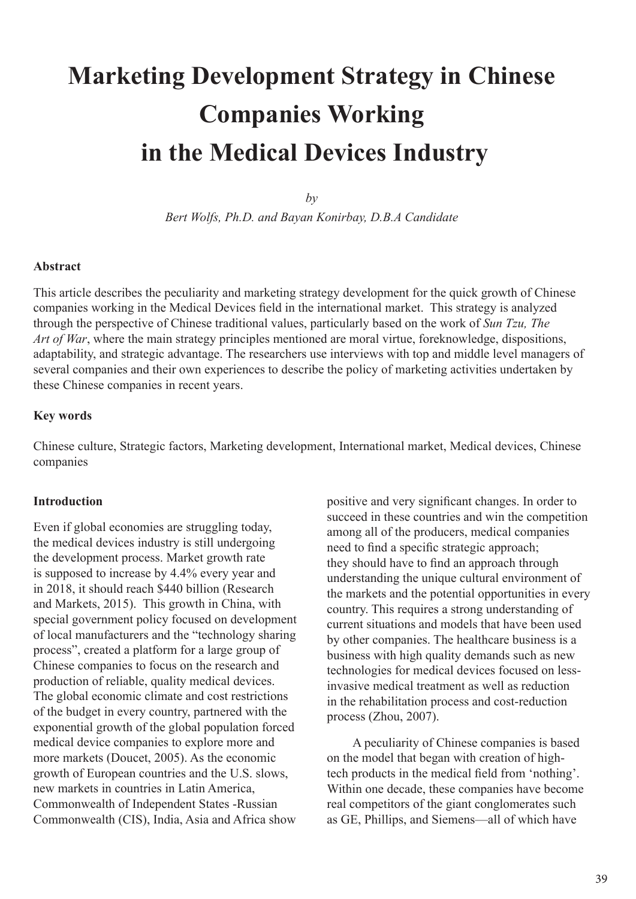# **Marketing Development Strategy in Chinese Companies Working in the Medical Devices Industry**

*by*

*Bert Wolfs, Ph.D. and Bayan Konirbay, D.B.A Candidate* 

## **Abstract**

This article describes the peculiarity and marketing strategy development for the quick growth of Chinese companies working in the Medical Devices field in the international market. This strategy is analyzed through the perspective of Chinese traditional values, particularly based on the work of *Sun Tzu, The Art of War*, where the main strategy principles mentioned are moral virtue, foreknowledge, dispositions, adaptability, and strategic advantage. The researchers use interviews with top and middle level managers of several companies and their own experiences to describe the policy of marketing activities undertaken by these Chinese companies in recent years.

### **Key words**

Chinese culture, Strategic factors, Marketing development, International market, Medical devices, Chinese companies

#### **Introduction**

Even if global economies are struggling today, the medical devices industry is still undergoing the development process. Market growth rate is supposed to increase by 4.4% every year and in 2018, it should reach \$440 billion (Research and Markets, 2015). This growth in China, with special government policy focused on development of local manufacturers and the "technology sharing process", created a platform for a large group of Chinese companies to focus on the research and production of reliable, quality medical devices. The global economic climate and cost restrictions of the budget in every country, partnered with the exponential growth of the global population forced medical device companies to explore more and more markets (Doucet, 2005). As the economic growth of European countries and the U.S. slows, new markets in countries in Latin America, Commonwealth of Independent States -Russian Commonwealth (CIS), India, Asia and Africa show

positive and very significant changes. In order to succeed in these countries and win the competition among all of the producers, medical companies need to find a specific strategic approach; they should have to find an approach through understanding the unique cultural environment of the markets and the potential opportunities in every country. This requires a strong understanding of current situations and models that have been used by other companies. The healthcare business is a business with high quality demands such as new technologies for medical devices focused on lessinvasive medical treatment as well as reduction in the rehabilitation process and cost-reduction process (Zhou, 2007).

 A peculiarity of Chinese companies is based on the model that began with creation of hightech products in the medical field from 'nothing'. Within one decade, these companies have become real competitors of the giant conglomerates such as GE, Phillips, and Siemens—all of which have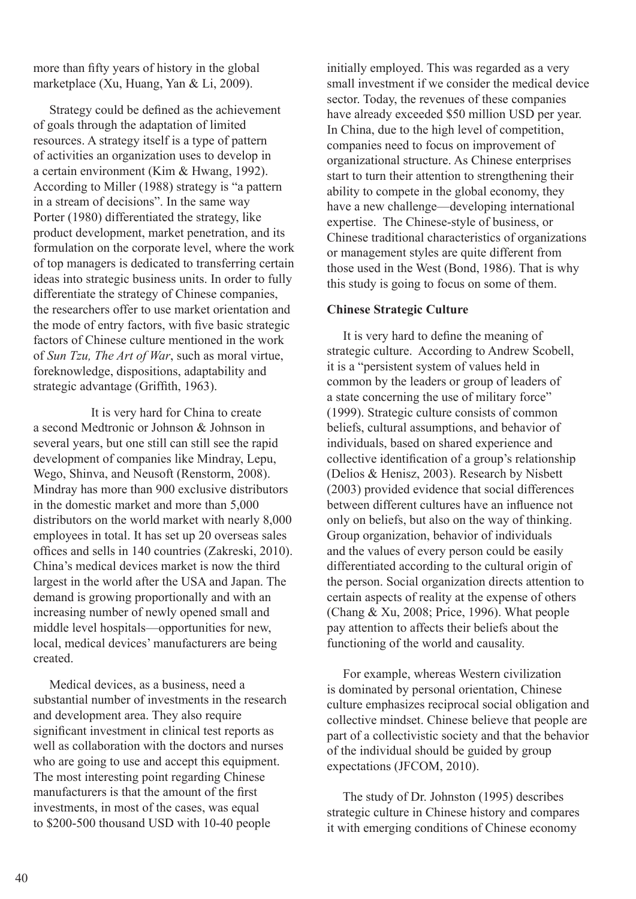more than fifty years of history in the global marketplace (Xu, Huang, Yan & Li, 2009).

 Strategy could be defined as the achievement of goals through the adaptation of limited resources. A strategy itself is a type of pattern of activities an organization uses to develop in a certain environment (Kim & Hwang, 1992). According to Miller (1988) strategy is "a pattern in a stream of decisions". In the same way Porter (1980) differentiated the strategy, like product development, market penetration, and its formulation on the corporate level, where the work of top managers is dedicated to transferring certain ideas into strategic business units. In order to fully differentiate the strategy of Chinese companies, the researchers offer to use market orientation and the mode of entry factors, with five basic strategic factors of Chinese culture mentioned in the work of *Sun Tzu, The Art of War*, such as moral virtue, foreknowledge, dispositions, adaptability and strategic advantage (Griffith, 1963).

 It is very hard for China to create a second Medtronic or Johnson & Johnson in several years, but one still can still see the rapid development of companies like Mindray, Lepu, Wego, Shinva, and Neusoft (Renstorm, 2008). Mindray has more than 900 exclusive distributors in the domestic market and more than 5,000 distributors on the world market with nearly 8,000 employees in total. It has set up 20 overseas sales offices and sells in 140 countries (Zakreski, 2010). China's medical devices market is now the third largest in the world after the USA and Japan. The demand is growing proportionally and with an increasing number of newly opened small and middle level hospitals—opportunities for new, local, medical devices' manufacturers are being created.

 Medical devices, as a business, need a substantial number of investments in the research and development area. They also require significant investment in clinical test reports as well as collaboration with the doctors and nurses who are going to use and accept this equipment. The most interesting point regarding Chinese manufacturers is that the amount of the first investments, in most of the cases, was equal to \$200-500 thousand USD with 10-40 people

initially employed. This was regarded as a very small investment if we consider the medical device sector. Today, the revenues of these companies have already exceeded \$50 million USD per year. In China, due to the high level of competition, companies need to focus on improvement of organizational structure. As Chinese enterprises start to turn their attention to strengthening their ability to compete in the global economy, they have a new challenge—developing international expertise. The Chinese-style of business, or Chinese traditional characteristics of organizations or management styles are quite different from those used in the West (Bond, 1986). That is why this study is going to focus on some of them.

# **Chinese Strategic Culture**

 It is very hard to define the meaning of strategic culture. According to Andrew Scobell, it is a "persistent system of values held in common by the leaders or group of leaders of a state concerning the use of military force" (1999). Strategic culture consists of common beliefs, cultural assumptions, and behavior of individuals, based on shared experience and collective identification of a group's relationship (Delios & Henisz, 2003). Research by Nisbett (2003) provided evidence that social differences between different cultures have an influence not only on beliefs, but also on the way of thinking. Group organization, behavior of individuals and the values of every person could be easily differentiated according to the cultural origin of the person. Social organization directs attention to certain aspects of reality at the expense of others (Chang & Xu, 2008; Price, 1996). What people pay attention to affects their beliefs about the functioning of the world and causality.

 For example, whereas Western civilization is dominated by personal orientation, Chinese culture emphasizes reciprocal social obligation and collective mindset. Chinese believe that people are part of a collectivistic society and that the behavior of the individual should be guided by group expectations (JFCOM, 2010).

 The study of Dr. Johnston (1995) describes strategic culture in Chinese history and compares it with emerging conditions of Chinese economy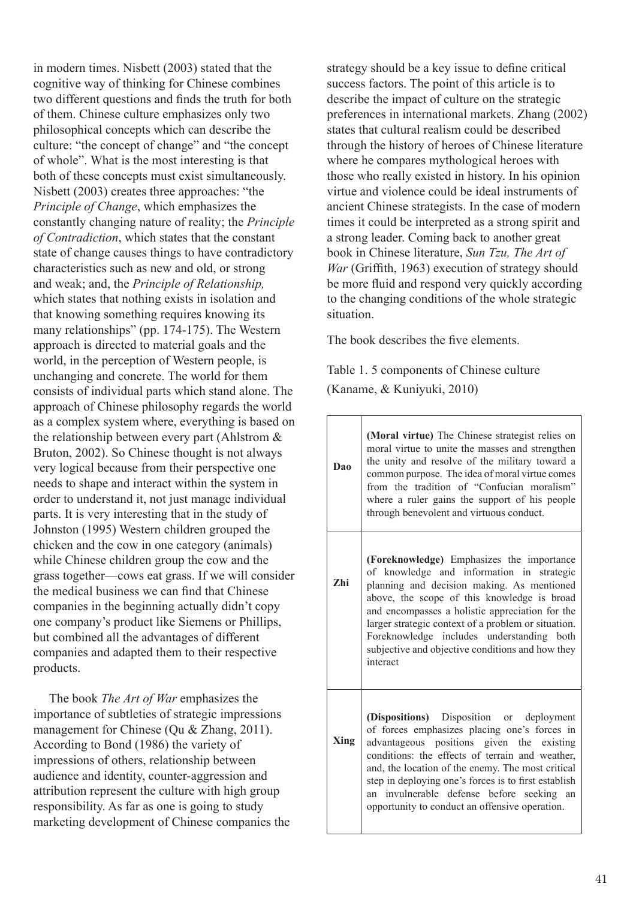in modern times. Nisbett (2003) stated that the cognitive way of thinking for Chinese combines two different questions and finds the truth for both of them. Chinese culture emphasizes only two philosophical concepts which can describe the culture: "the concept of change" and "the concept of whole". What is the most interesting is that both of these concepts must exist simultaneously. Nisbett (2003) creates three approaches: "the *Principle of Change*, which emphasizes the constantly changing nature of reality; the *Principle of Contradiction*, which states that the constant state of change causes things to have contradictory characteristics such as new and old, or strong and weak; and, the *Principle of Relationship,* which states that nothing exists in isolation and that knowing something requires knowing its many relationships" (pp. 174-175). The Western approach is directed to material goals and the world, in the perception of Western people, is unchanging and concrete. The world for them consists of individual parts which stand alone. The approach of Chinese philosophy regards the world as a complex system where, everything is based on the relationship between every part (Ahlstrom & Bruton, 2002). So Chinese thought is not always very logical because from their perspective one needs to shape and interact within the system in order to understand it, not just manage individual parts. It is very interesting that in the study of Johnston (1995) Western children grouped the chicken and the cow in one category (animals) while Chinese children group the cow and the grass together—cows eat grass. If we will consider the medical business we can find that Chinese companies in the beginning actually didn't copy one company's product like Siemens or Phillips, but combined all the advantages of different companies and adapted them to their respective products.

 The book *The Art of War* emphasizes the importance of subtleties of strategic impressions management for Chinese (Qu & Zhang, 2011). According to Bond (1986) the variety of impressions of others, relationship between audience and identity, counter-aggression and attribution represent the culture with high group responsibility. As far as one is going to study marketing development of Chinese companies the strategy should be a key issue to define critical success factors. The point of this article is to describe the impact of culture on the strategic preferences in international markets. Zhang (2002) states that cultural realism could be described through the history of heroes of Chinese literature where he compares mythological heroes with those who really existed in history. In his opinion virtue and violence could be ideal instruments of ancient Chinese strategists. In the case of modern times it could be interpreted as a strong spirit and a strong leader. Coming back to another great book in Chinese literature, *Sun Tzu, The Art of War* (Griffith, 1963) execution of strategy should be more fluid and respond very quickly according to the changing conditions of the whole strategic situation.

The book describes the five elements.

Table 1. 5 components of Chinese culture (Kaname, & Kuniyuki, 2010)

| Dao        | (Moral virtue) The Chinese strategist relies on<br>moral virtue to unite the masses and strengthen<br>the unity and resolve of the military toward a<br>common purpose. The idea of moral virtue comes<br>from the tradition of "Confucian moralism"<br>where a ruler gains the support of his people<br>through benevolent and virtuous conduct.                                                          |
|------------|------------------------------------------------------------------------------------------------------------------------------------------------------------------------------------------------------------------------------------------------------------------------------------------------------------------------------------------------------------------------------------------------------------|
| <b>Zhi</b> | (Foreknowledge) Emphasizes the importance<br>of knowledge and information in strategic<br>planning and decision making. As mentioned<br>above, the scope of this knowledge is broad<br>and encompasses a holistic appreciation for the<br>larger strategic context of a problem or situation.<br>Foreknowledge includes understanding both<br>subjective and objective conditions and how they<br>interact |
| Xing       | (Dispositions) Disposition or deployment<br>of forces emphasizes placing one's forces in<br>advantageous positions given the existing<br>conditions: the effects of terrain and weather,<br>and, the location of the enemy. The most critical<br>step in deploying one's forces is to first establish<br>an invulnerable defense before seeking an<br>opportunity to conduct an offensive operation.       |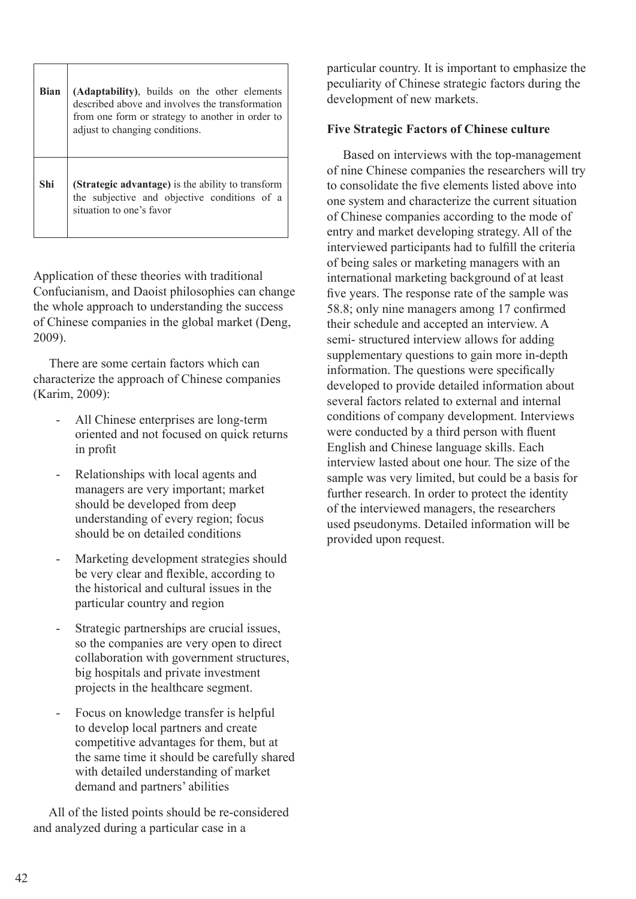| <b>Bian</b> | (Adaptability), builds on the other elements<br>described above and involves the transformation<br>from one form or strategy to another in order to<br>adjust to changing conditions. |
|-------------|---------------------------------------------------------------------------------------------------------------------------------------------------------------------------------------|
| Shi         | (Strategic advantage) is the ability to transform<br>the subjective and objective conditions of a<br>situation to one's favor                                                         |

Application of these theories with traditional Confucianism, and Daoist philosophies can change the whole approach to understanding the success of Chinese companies in the global market (Deng, 2009).

 There are some certain factors which can characterize the approach of Chinese companies (Karim, 2009):

- All Chinese enterprises are long-term oriented and not focused on quick returns in profit
- Relationships with local agents and managers are very important; market should be developed from deep understanding of every region; focus should be on detailed conditions
- Marketing development strategies should be very clear and flexible, according to the historical and cultural issues in the particular country and region
- Strategic partnerships are crucial issues. so the companies are very open to direct collaboration with government structures, big hospitals and private investment projects in the healthcare segment.
- Focus on knowledge transfer is helpful to develop local partners and create competitive advantages for them, but at the same time it should be carefully shared with detailed understanding of market demand and partners' abilities

 All of the listed points should be re-considered and analyzed during a particular case in a

particular country. It is important to emphasize the peculiarity of Chinese strategic factors during the development of new markets.

# **Five Strategic Factors of Chinese culture**

 Based on interviews with the top-management of nine Chinese companies the researchers will try to consolidate the five elements listed above into one system and characterize the current situation of Chinese companies according to the mode of entry and market developing strategy. All of the interviewed participants had to fulfill the criteria of being sales or marketing managers with an international marketing background of at least five years. The response rate of the sample was 58.8; only nine managers among 17 confirmed their schedule and accepted an interview. A semi- structured interview allows for adding supplementary questions to gain more in-depth information. The questions were specifically developed to provide detailed information about several factors related to external and internal conditions of company development. Interviews were conducted by a third person with fluent English and Chinese language skills. Each interview lasted about one hour. The size of the sample was very limited, but could be a basis for further research. In order to protect the identity of the interviewed managers, the researchers used pseudonyms. Detailed information will be provided upon request.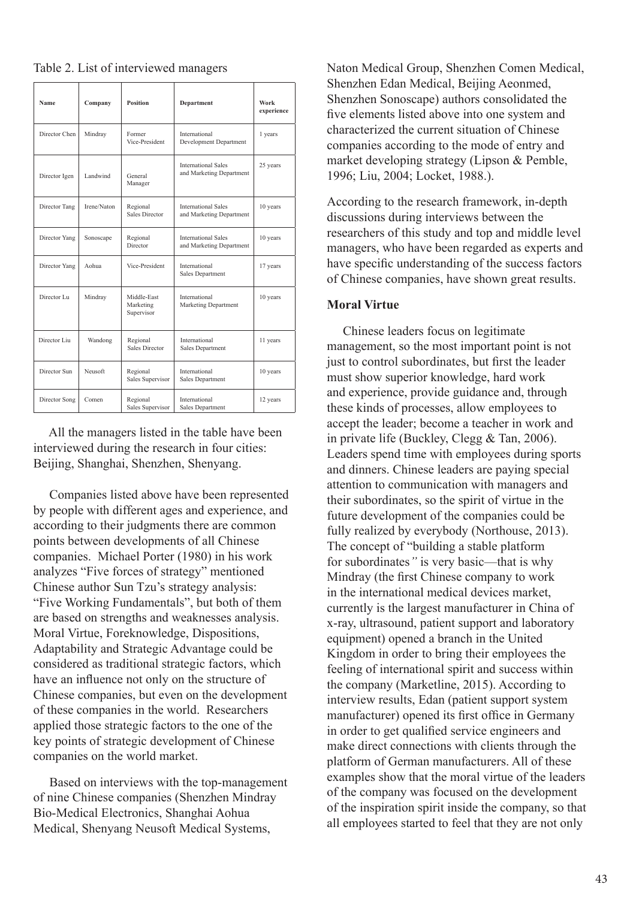|  |  |  | Table 2. List of interviewed managers |  |  |
|--|--|--|---------------------------------------|--|--|
|--|--|--|---------------------------------------|--|--|

| Name          | Company     | <b>Position</b>                        | <b>Department</b>                                      | Work<br>experience |
|---------------|-------------|----------------------------------------|--------------------------------------------------------|--------------------|
| Director Chen | Mindray     | Former<br>Vice-President               | International<br>Development Department                | 1 years            |
| Director Igen | Landwind    | General<br>Manager                     | <b>International Sales</b><br>and Marketing Department | 25 years           |
| Director Tang | Irene/Naton | Regional<br><b>Sales Director</b>      | <b>International Sales</b><br>and Marketing Department | 10 years           |
| Director Yang | Sonoscape   | Regional<br>Director                   | <b>International Sales</b><br>and Marketing Department | 10 years           |
| Director Yang | Aohua       | Vice-President                         | International<br>Sales Department                      | 17 years           |
| Director Lu   | Mindray     | Middle-East<br>Marketing<br>Supervisor | International<br>Marketing Department                  | 10 years           |
| Director Liu  | Wandong     | Regional<br><b>Sales Director</b>      | International<br>Sales Department                      | 11 years           |
| Director Sun  | Neusoft     | Regional<br>Sales Supervisor           | International<br>Sales Department                      | 10 years           |
| Director Song | Comen       | Regional<br>Sales Supervisor           | International<br>Sales Department                      | 12 years           |

 All the managers listed in the table have been interviewed during the research in four cities: Beijing, Shanghai, Shenzhen, Shenyang.

 Companies listed above have been represented by people with different ages and experience, and according to their judgments there are common points between developments of all Chinese companies. Michael Porter (1980) in his work analyzes "Five forces of strategy" mentioned Chinese author Sun Tzu's strategy analysis: "Five Working Fundamentals", but both of them are based on strengths and weaknesses analysis. Moral Virtue, Foreknowledge, Dispositions, Adaptability and Strategic Advantage could be considered as traditional strategic factors, which have an influence not only on the structure of Chinese companies, but even on the development of these companies in the world. Researchers applied those strategic factors to the one of the key points of strategic development of Chinese companies on the world market.

 Based on interviews with the top-management of nine Chinese companies (Shenzhen Mindray Bio-Medical Electronics, Shanghai Aohua Medical, Shenyang Neusoft Medical Systems,

Naton Medical Group, Shenzhen Comen Medical, Shenzhen Edan Medical, Beijing Aeonmed, Shenzhen Sonoscape) authors consolidated the five elements listed above into one system and characterized the current situation of Chinese companies according to the mode of entry and market developing strategy (Lipson & Pemble, 1996; Liu, 2004; Locket, 1988.).

According to the research framework, in-depth discussions during interviews between the researchers of this study and top and middle level managers, who have been regarded as experts and have specific understanding of the success factors of Chinese companies, have shown great results.

## **Moral Virtue**

 Chinese leaders focus on legitimate management, so the most important point is not just to control subordinates, but first the leader must show superior knowledge, hard work and experience, provide guidance and, through these kinds of processes, allow employees to accept the leader; become a teacher in work and in private life (Buckley, Clegg & Tan, 2006). Leaders spend time with employees during sports and dinners. Chinese leaders are paying special attention to communication with managers and their subordinates, so the spirit of virtue in the future development of the companies could be fully realized by everybody (Northouse, 2013). The concept of "building a stable platform for subordinates*"* is very basic—that is why Mindray (the first Chinese company to work in the international medical devices market, currently is the largest manufacturer in China of x-ray, ultrasound, patient support and laboratory equipment) opened a branch in the United Kingdom in order to bring their employees the feeling of international spirit and success within the company (Marketline, 2015). According to interview results, Edan (patient support system manufacturer) opened its first office in Germany in order to get qualified service engineers and make direct connections with clients through the platform of German manufacturers. All of these examples show that the moral virtue of the leaders of the company was focused on the development of the inspiration spirit inside the company, so that all employees started to feel that they are not only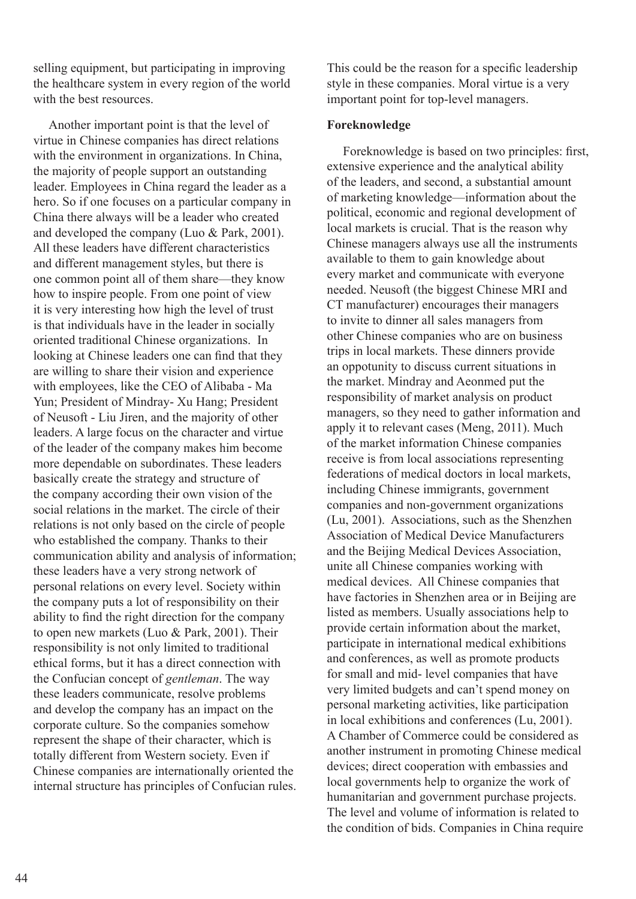selling equipment, but participating in improving the healthcare system in every region of the world with the best resources.

 Another important point is that the level of virtue in Chinese companies has direct relations with the environment in organizations. In China, the majority of people support an outstanding leader. Employees in China regard the leader as a hero. So if one focuses on a particular company in China there always will be a leader who created and developed the company (Luo & Park, 2001). All these leaders have different characteristics and different management styles, but there is one common point all of them share—they know how to inspire people. From one point of view it is very interesting how high the level of trust is that individuals have in the leader in socially oriented traditional Chinese organizations. In looking at Chinese leaders one can find that they are willing to share their vision and experience with employees, like the CEO of Alibaba - Ma Yun; President of Mindray- Xu Hang; President of Neusoft - Liu Jiren, and the majority of other leaders. A large focus on the character and virtue of the leader of the company makes him become more dependable on subordinates. These leaders basically create the strategy and structure of the company according their own vision of the social relations in the market. The circle of their relations is not only based on the circle of people who established the company. Thanks to their communication ability and analysis of information; these leaders have a very strong network of personal relations on every level. Society within the company puts a lot of responsibility on their ability to find the right direction for the company to open new markets (Luo & Park, 2001). Their responsibility is not only limited to traditional ethical forms, but it has a direct connection with the Confucian concept of *gentleman*. The way these leaders communicate, resolve problems and develop the company has an impact on the corporate culture. So the companies somehow represent the shape of their character, which is totally different from Western society. Even if Chinese companies are internationally oriented the internal structure has principles of Confucian rules.

This could be the reason for a specific leadership style in these companies. Moral virtue is a very important point for top-level managers.

# **Foreknowledge**

 Foreknowledge is based on two principles: first, extensive experience and the analytical ability of the leaders, and second, a substantial amount of marketing knowledge—information about the political, economic and regional development of local markets is crucial. That is the reason why Chinese managers always use all the instruments available to them to gain knowledge about every market and communicate with everyone needed. Neusoft (the biggest Chinese MRI and CT manufacturer) encourages their managers to invite to dinner all sales managers from other Chinese companies who are on business trips in local markets. These dinners provide an oppotunity to discuss current situations in the market. Mindray and Aeonmed put the responsibility of market analysis on product managers, so they need to gather information and apply it to relevant cases (Meng, 2011). Much of the market information Chinese companies receive is from local associations representing federations of medical doctors in local markets, including Chinese immigrants, government companies and non-government organizations (Lu, 2001). Associations, such as the Shenzhen Association of Medical Device Manufacturers and the Beijing Medical Devices Association, unite all Chinese companies working with medical devices. All Chinese companies that have factories in Shenzhen area or in Beijing are listed as members. Usually associations help to provide certain information about the market, participate in international medical exhibitions and conferences, as well as promote products for small and mid- level companies that have very limited budgets and can't spend money on personal marketing activities, like participation in local exhibitions and conferences (Lu, 2001). A Chamber of Commerce could be considered as another instrument in promoting Chinese medical devices; direct cooperation with embassies and local governments help to organize the work of humanitarian and government purchase projects. The level and volume of information is related to the condition of bids. Companies in China require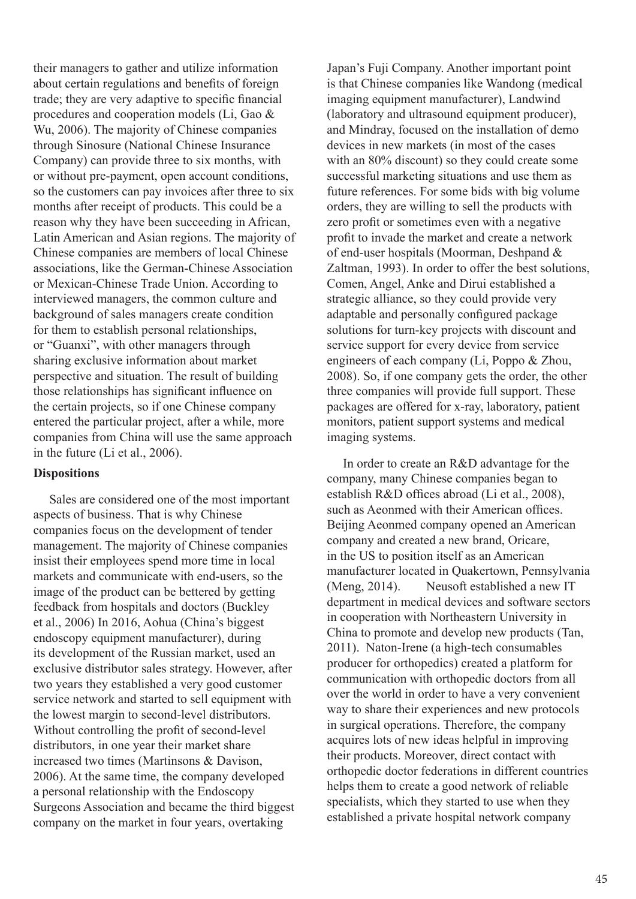their managers to gather and utilize information about certain regulations and benefits of foreign trade; they are very adaptive to specific financial procedures and cooperation models (Li, Gao & Wu, 2006). The majority of Chinese companies through Sinosure (National Chinese Insurance Company) can provide three to six months, with or without pre-payment, open account conditions, so the customers can pay invoices after three to six months after receipt of products. This could be a reason why they have been succeeding in African, Latin American and Asian regions. The majority of Chinese companies are members of local Chinese associations, like the German-Chinese Association or Mexican-Chinese Trade Union. According to interviewed managers, the common culture and background of sales managers create condition for them to establish personal relationships, or "Guanxi", with other managers through sharing exclusive information about market perspective and situation. The result of building those relationships has significant influence on the certain projects, so if one Chinese company entered the particular project, after a while, more companies from China will use the same approach in the future (Li et al., 2006).

#### **Dispositions**

 Sales are considered one of the most important aspects of business. That is why Chinese companies focus on the development of tender management. The majority of Chinese companies insist their employees spend more time in local markets and communicate with end-users, so the image of the product can be bettered by getting feedback from hospitals and doctors (Buckley et al., 2006) In 2016, Aohua (China's biggest endoscopy equipment manufacturer), during its development of the Russian market, used an exclusive distributor sales strategy. However, after two years they established a very good customer service network and started to sell equipment with the lowest margin to second-level distributors. Without controlling the profit of second-level distributors, in one year their market share increased two times (Martinsons & Davison, 2006). At the same time, the company developed a personal relationship with the Endoscopy Surgeons Association and became the third biggest company on the market in four years, overtaking

Japan's Fuji Company. Another important point is that Chinese companies like Wandong (medical imaging equipment manufacturer), Landwind (laboratory and ultrasound equipment producer), and Mindray, focused on the installation of demo devices in new markets (in most of the cases with an 80% discount) so they could create some successful marketing situations and use them as future references. For some bids with big volume orders, they are willing to sell the products with zero profit or sometimes even with a negative profit to invade the market and create a network of end-user hospitals (Moorman, Deshpand & Zaltman, 1993). In order to offer the best solutions, Comen, Angel, Anke and Dirui established a strategic alliance, so they could provide very adaptable and personally configured package solutions for turn-key projects with discount and service support for every device from service engineers of each company (Li, Poppo & Zhou, 2008). So, if one company gets the order, the other three companies will provide full support. These packages are offered for x-ray, laboratory, patient monitors, patient support systems and medical imaging systems.

 In order to create an R&D advantage for the company, many Chinese companies began to establish R&D offices abroad (Li et al., 2008), such as Aeonmed with their American offices. Beijing Aeonmed company opened an American company and created a new brand, Oricare, in the US to position itself as an American manufacturer located in Quakertown, Pennsylvania (Meng, 2014). Neusoft established a new IT department in medical devices and software sectors in cooperation with Northeastern University in China to promote and develop new products (Tan, 2011). Naton-Irene (a high-tech consumables producer for orthopedics) created a platform for communication with orthopedic doctors from all over the world in order to have a very convenient way to share their experiences and new protocols in surgical operations. Therefore, the company acquires lots of new ideas helpful in improving their products. Moreover, direct contact with orthopedic doctor federations in different countries helps them to create a good network of reliable specialists, which they started to use when they established a private hospital network company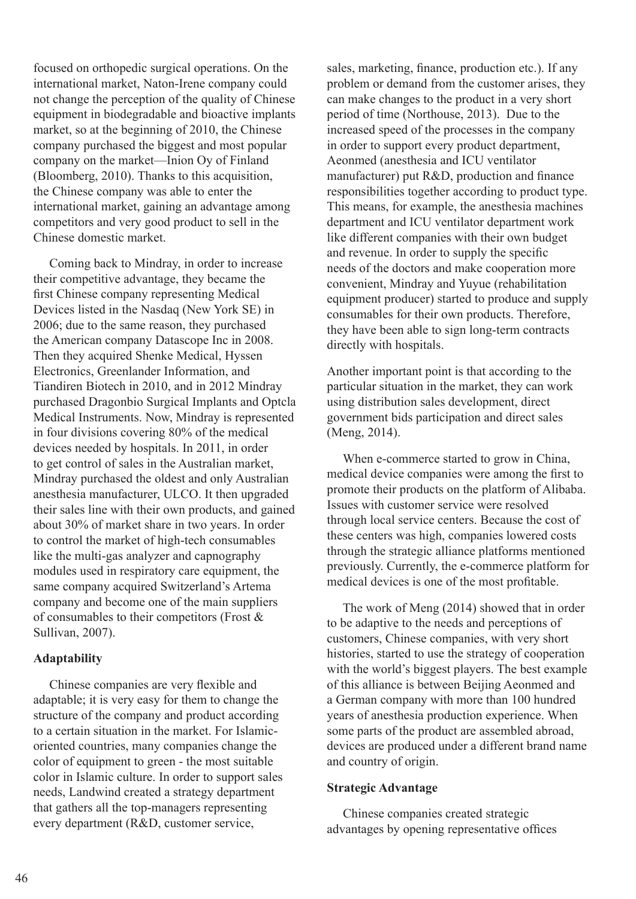focused on orthopedic surgical operations. On the international market, Naton-Irene company could not change the perception of the quality of Chinese equipment in biodegradable and bioactive implants market, so at the beginning of 2010, the Chinese company purchased the biggest and most popular company on the market—Inion Oy of Finland (Bloomberg, 2010). Thanks to this acquisition, the Chinese company was able to enter the international market, gaining an advantage among competitors and very good product to sell in the Chinese domestic market.

 Coming back to Mindray, in order to increase their competitive advantage, they became the first Chinese company representing Medical Devices listed in the Nasdaq (New York SE) in 2006; due to the same reason, they purchased the American company Datascope Inc in 2008. Then they acquired Shenke Medical, Hyssen Electronics, Greenlander Information, and Tiandiren Biotech in 2010, and in 2012 Mindray purchased Dragonbio Surgical Implants and Optcla Medical Instruments. Now, Mindray is represented in four divisions covering 80% of the medical devices needed by hospitals. In 2011, in order to get control of sales in the Australian market, Mindray purchased the oldest and only Australian anesthesia manufacturer, ULCO. It then upgraded their sales line with their own products, and gained about 30% of market share in two years. In order to control the market of high-tech consumables like the multi-gas analyzer and capnography modules used in respiratory care equipment, the same company acquired Switzerland's Artema company and become one of the main suppliers of consumables to their competitors (Frost & Sullivan, 2007).

# **Adaptability**

 Chinese companies are very flexible and adaptable; it is very easy for them to change the structure of the company and product according to a certain situation in the market. For Islamicoriented countries, many companies change the color of equipment to green - the most suitable color in Islamic culture. In order to support sales needs, Landwind created a strategy department that gathers all the top-managers representing every department (R&D, customer service,

sales, marketing, finance, production etc.). If any problem or demand from the customer arises, they can make changes to the product in a very short period of time (Northouse, 2013). Due to the increased speed of the processes in the company in order to support every product department, Aeonmed (anesthesia and ICU ventilator manufacturer) put R&D, production and finance responsibilities together according to product type. This means, for example, the anesthesia machines department and ICU ventilator department work like different companies with their own budget and revenue. In order to supply the specific needs of the doctors and make cooperation more convenient, Mindray and Yuyue (rehabilitation equipment producer) started to produce and supply consumables for their own products. Therefore, they have been able to sign long-term contracts directly with hospitals.

Another important point is that according to the particular situation in the market, they can work using distribution sales development, direct government bids participation and direct sales (Meng, 2014).

 When e-commerce started to grow in China, medical device companies were among the first to promote their products on the platform of Alibaba. Issues with customer service were resolved through local service centers. Because the cost of these centers was high, companies lowered costs through the strategic alliance platforms mentioned previously. Currently, the e-commerce platform for medical devices is one of the most profitable.

 The work of Meng (2014) showed that in order to be adaptive to the needs and perceptions of customers, Chinese companies, with very short histories, started to use the strategy of cooperation with the world's biggest players. The best example of this alliance is between Beijing Aeonmed and a German company with more than 100 hundred years of anesthesia production experience. When some parts of the product are assembled abroad, devices are produced under a different brand name and country of origin.

#### **Strategic Advantage**

 Chinese companies created strategic advantages by opening representative offices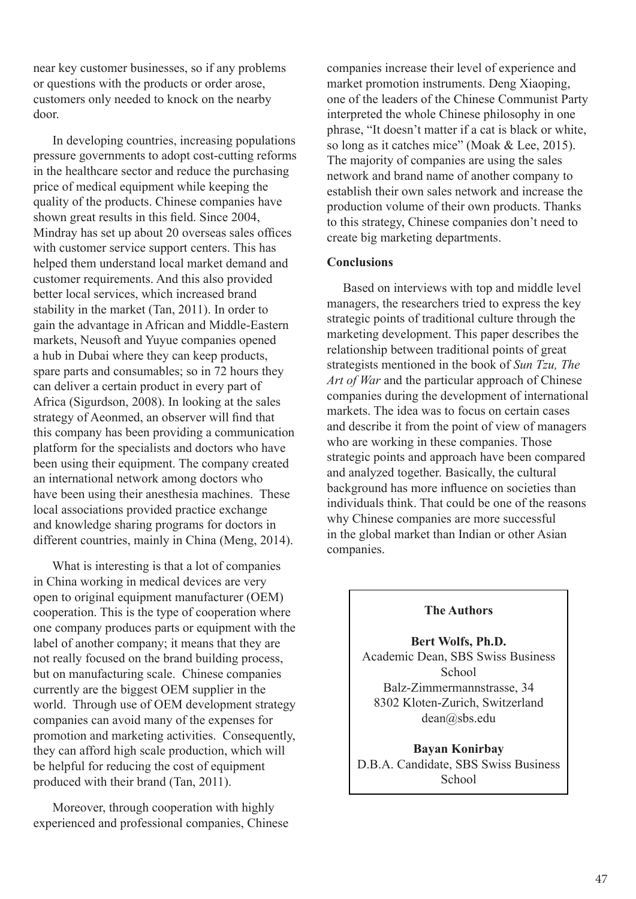near key customer businesses, so if any problems or questions with the products or order arose, customers only needed to knock on the nearby door.

 In developing countries, increasing populations pressure governments to adopt cost-cutting reforms in the healthcare sector and reduce the purchasing price of medical equipment while keeping the quality of the products. Chinese companies have shown great results in this field. Since 2004, Mindray has set up about 20 overseas sales offices with customer service support centers. This has helped them understand local market demand and customer requirements. And this also provided better local services, which increased brand stability in the market (Tan, 2011). In order to gain the advantage in African and Middle-Eastern markets, Neusoft and Yuyue companies opened a hub in Dubai where they can keep products, spare parts and consumables; so in 72 hours they can deliver a certain product in every part of Africa (Sigurdson, 2008). In looking at the sales strategy of Aeonmed, an observer will find that this company has been providing a communication platform for the specialists and doctors who have been using their equipment. The company created an international network among doctors who have been using their anesthesia machines. These local associations provided practice exchange and knowledge sharing programs for doctors in different countries, mainly in China (Meng, 2014).

 What is interesting is that a lot of companies in China working in medical devices are very open to original equipment manufacturer (OEM) cooperation. This is the type of cooperation where one company produces parts or equipment with the label of another company; it means that they are not really focused on the brand building process, but on manufacturing scale. Chinese companies currently are the biggest OEM supplier in the world. Through use of OEM development strategy companies can avoid many of the expenses for promotion and marketing activities. Consequently, they can afford high scale production, which will be helpful for reducing the cost of equipment produced with their brand (Tan, 2011).

 Moreover, through cooperation with highly experienced and professional companies, Chinese companies increase their level of experience and market promotion instruments. Deng Xiaoping, one of the leaders of the Chinese Communist Party interpreted the whole Chinese philosophy in one phrase, "It doesn't matter if a cat is black or white, so long as it catches mice" (Moak & Lee, 2015). The majority of companies are using the sales network and brand name of another company to establish their own sales network and increase the production volume of their own products. Thanks to this strategy, Chinese companies don't need to create big marketing departments.

## **Conclusions**

 Based on interviews with top and middle level managers, the researchers tried to express the key strategic points of traditional culture through the marketing development. This paper describes the relationship between traditional points of great strategists mentioned in the book of *Sun Tzu, The Art of War* and the particular approach of Chinese companies during the development of international markets. The idea was to focus on certain cases and describe it from the point of view of managers who are working in these companies. Those strategic points and approach have been compared and analyzed together. Basically, the cultural background has more influence on societies than individuals think. That could be one of the reasons why Chinese companies are more successful in the global market than Indian or other Asian companies.

#### **The Authors**

**Bert Wolfs, Ph.D.** Academic Dean, SBS Swiss Business School Balz-Zimmermannstrasse, 34 8302 Kloten-Zurich, Switzerland dean@sbs.edu

**Bayan Konirbay** D.B.A. Candidate, SBS Swiss Business **School**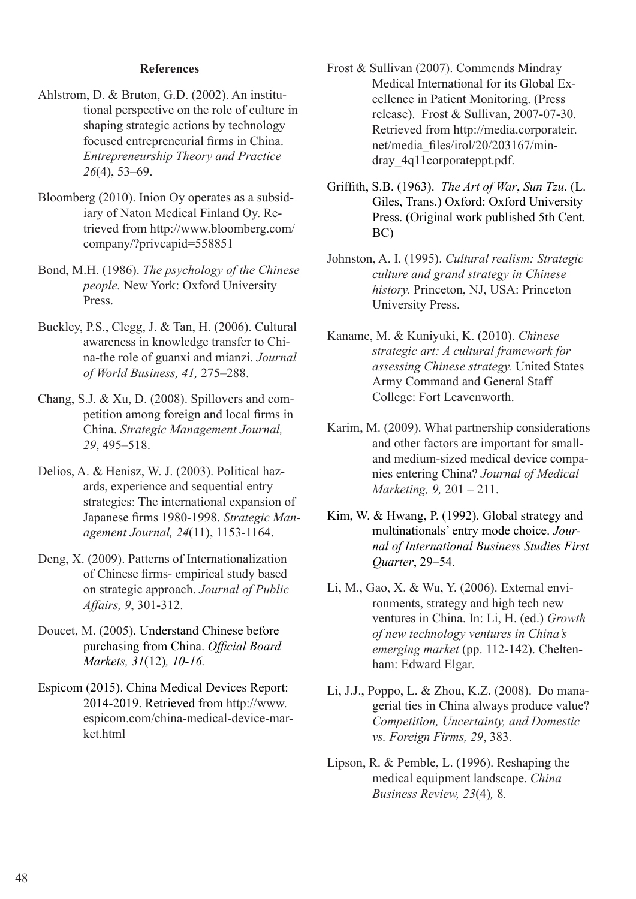# **References**

- Ahlstrom, D. & Bruton, G.D. (2002). An institutional perspective on the role of culture in shaping strategic actions by technology focused entrepreneurial firms in China. *Entrepreneurship Theory and Practice 26*(4), 53–69.
- Bloomberg (2010). Inion Oy operates as a subsidiary of Naton Medical Finland Oy. Retrieved from http://www.bloomberg.com/ company/?privcapid=558851
- Bond, M.H. (1986). *The psychology of the Chinese people.* New York: Oxford University Press.
- Buckley, P.S., Clegg, J. & Tan, H. (2006). Cultural awareness in knowledge transfer to China-the role of guanxi and mianzi. *Journal of World Business, 41,* 275–288.
- Chang, S.J. & Xu, D. (2008). Spillovers and competition among foreign and local firms in China. *Strategic Management Journal, 29*, 495–518.
- Delios, A. & Henisz, W. J. (2003). Political hazards, experience and sequential entry strategies: The international expansion of Japanese firms 1980-1998. *Strategic Management Journal, 24*(11), 1153-1164.
- Deng, X. (2009). Patterns of Internationalization of Chinese firms- empirical study based on strategic approach. *Journal of Public Affairs, 9*, 301-312.
- Doucet, M. (2005). Understand Chinese before purchasing from China. *Official Board Markets, 31*(12)*, 10-16.*
- Espicom (2015). China Medical Devices Report: 2014-2019. Retrieved from http://www. espicom.com/china-medical-device-market html
- Frost & Sullivan (2007). Commends Mindray Medical International for its Global Excellence in Patient Monitoring. (Press release). Frost & Sullivan, 2007-07-30. Retrieved from http://media.corporateir. net/media\_files/irol/20/203167/mindray\_4q11corporateppt.pdf.
- Griffith, S.B. (1963). *The Art of War*, *Sun Tzu*. (L. Giles, Trans.) Oxford: Oxford University Press. (Original work published 5th Cent. BC)
- Johnston, A. I. (1995). *Cultural realism: Strategic culture and grand strategy in Chinese history.* Princeton, NJ, USA: Princeton University Press.
- Kaname, M. & Kuniyuki, K. (2010). *Chinese strategic art: A cultural framework for assessing Chinese strategy.* United States Army Command and General Staff College: Fort Leavenworth.
- Karim, M. (2009). What partnership considerations and other factors are important for smalland medium-sized medical device companies entering China? *Journal of Medical Marketing, 9,* 201 – 211.
- Kim, W. & Hwang, P. (1992). Global strategy and multinationals' entry mode choice. *Journal of International Business Studies First Quarter*, 29–54.
- Li, M., Gao, X. & Wu, Y. (2006). External environments, strategy and high tech new ventures in China. In: Li, H. (ed.) *Growth of new technology ventures in China's emerging market* (pp. 112-142). Cheltenham: Edward Elgar*.*
- Li, J.J., Poppo, L. & Zhou, K.Z. (2008). Do managerial ties in China always produce value? *Competition, Uncertainty, and Domestic vs. Foreign Firms, 29*, 383.
- Lipson, R. & Pemble, L. (1996). Reshaping the medical equipment landscape. *China Business Review, 23*(4)*,* 8*.*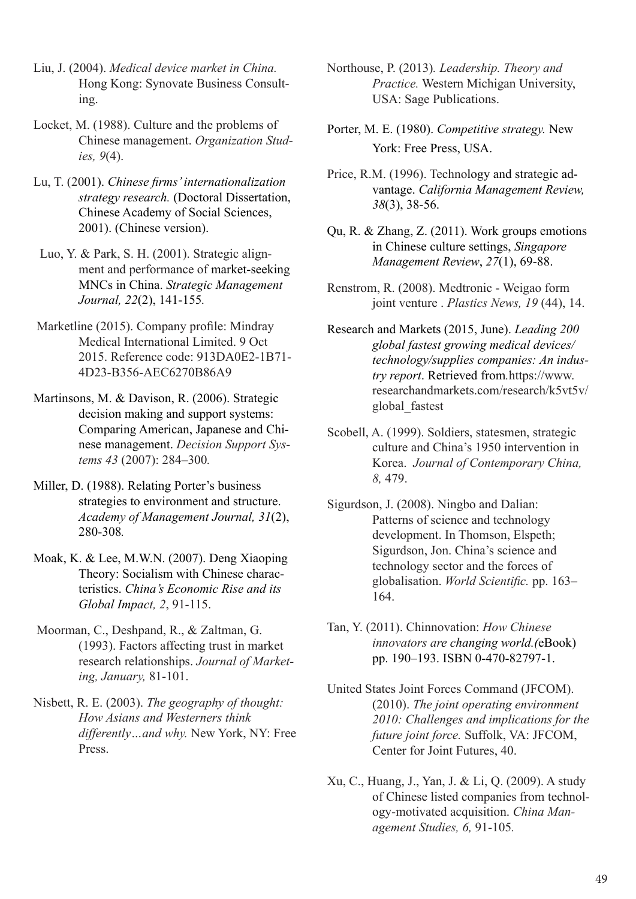Liu, J. (2004). *Medical device market in China.* Hong Kong: Synovate Business Consulting.

Locket, M. (1988). Culture and the problems of Chinese management. *Organization Studies, 9*(4).

- Lu, T. (2001). *Chinese firms' internationalization strategy research.* (Doctoral Dissertation, Chinese Academy of Social Sciences, 2001). (Chinese version).
- Luo, Y. & Park, S. H. (2001). Strategic alignment and performance of market-seeking MNCs in China. *Strategic Management Journal, 22*(2), 141-155*.*
- Marketline (2015). Company profile: Mindray Medical International Limited. 9 Oct 2015. Reference code: 913DA0E2-1B71- 4D23-B356-AEC6270B86A9
- Martinsons, M. & Davison, R. (2006). Strategic decision making and support systems: Comparing American, Japanese and Chinese management. *Decision Support Systems 43* (2007): 284–300*.*
- Miller, D. (1988). Relating Porter's business strategies to environment and structure. *Academy of Management Journal, 31*(2), 280-308*.*
- Moak, K. & Lee, M.W.N. (2007). Deng Xiaoping Theory: Socialism with Chinese characteristics. *China's Economic Rise and its Global Impact, 2*, 91-115.
- Moorman, C., Deshpand, R., & Zaltman, G. (1993). Factors affecting trust in market research relationships. *Journal of Marketing, January,* 81-101.
- Nisbett, R. E. (2003). *The geography of thought: How Asians and Westerners think differently…and why.* New York, NY: Free Press.
- Northouse, P. (2013)*. Leadership. Theory and Practice.* Western Michigan University, USA: Sage Publications.
- Porter, M. E. (1980). *Competitive strategy.* New York: Free Press, USA.
- Price, R.M. (1996). Technology and strategic advantage. *California Management Review, 38*(3), 38-56.
- Qu, R. & Zhang, Z. (2011). Work groups emotions in Chinese culture settings, *Singapore Management Review*, *27*(1), 69-88.
- Renstrom, R. (2008). Medtronic Weigao form joint venture . *Plastics News, 19* (44), 14.
- Research and Markets (2015, June). *Leading 200 global fastest growing medical devices/ technology/supplies companies: An industry report*. Retrieved from*.*https://www. researchandmarkets.com/research/k5vt5v/ global\_fastest
- Scobell, A. (1999). Soldiers, statesmen, strategic culture and China's 1950 intervention in Korea. *Journal of Contemporary China, 8,* 479.
- Sigurdson, J. (2008). Ningbo and Dalian: Patterns of science and technology development. In Thomson, Elspeth; Sigurdson, Jon. China's science and technology sector and the forces of globalisation. *World Scientific.* pp. 163– 164.
- Tan, Y. (2011). Chinnovation: *How Chinese innovators are changing world.(*eBook) pp. 190–193. ISBN 0-470-82797-1.
- United States Joint Forces Command (JFCOM). (2010). *The joint operating environment 2010: Challenges and implications for the future joint force.* Suffolk, VA: JFCOM, Center for Joint Futures, 40.
- Xu, C., Huang, J., Yan, J. & Li, Q. (2009). A study of Chinese listed companies from technology-motivated acquisition. *China Management Studies, 6,* 91-105*.*